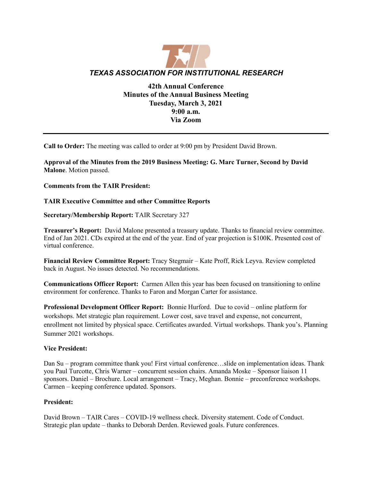

# **42th Annual Conference Minutes of the Annual Business Meeting Tuesday, March 3, 2021 9:00 a.m. Via Zoom**

**Call to Order:** The meeting was called to order at 9:00 pm by President David Brown.

**Approval of the Minutes from the 2019 Business Meeting: G. Marc Turner, Second by David Malone**. Motion passed.

**Comments from the TAIR President:** 

## **TAIR Executive Committee and other Committee Reports**

**Secretary/Membership Report:** TAIR Secretary 327

**Treasurer's Report:** David Malone presented a treasury update. Thanks to financial review committee. End of Jan 2021. CDs expired at the end of the year. End of year projection is \$100K. Presented cost of virtual conference.

**Financial Review Committee Report:** Tracy Stegmair – Kate Proff, Rick Leyva. Review completed back in August. No issues detected. No recommendations.

**Communications Officer Report:** Carmen Allen this year has been focused on transitioning to online environment for conference. Thanks to Faron and Morgan Carter for assistance.

**Professional Development Officer Report:** Bonnie Hurford. Due to covid – online platform for workshops. Met strategic plan requirement. Lower cost, save travel and expense, not concurrent, enrollment not limited by physical space. Certificates awarded. Virtual workshops. Thank you's. Planning Summer 2021 workshops.

#### **Vice President:**

Dan Su – program committee thank you! First virtual conference…slide on implementation ideas. Thank you Paul Turcotte, Chris Warner – concurrent session chairs. Amanda Moske – Sponsor liaison 11 sponsors. Daniel – Brochure. Local arrangement – Tracy, Meghan. Bonnie – preconference workshops. Carmen – keeping conference updated. Sponsors.

#### **President:**

David Brown – TAIR Cares – COVID-19 wellness check. Diversity statement. Code of Conduct. Strategic plan update – thanks to Deborah Derden. Reviewed goals. Future conferences.